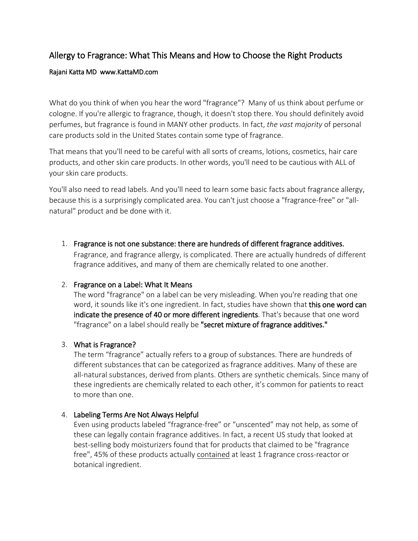# Allergy to Fragrance: What This Means and How to Choose the Right Products

#### Rajani Katta MD www.KattaMD.com

What do you think of when you hear the word "fragrance"? Many of us think about perfume or cologne. If you're allergic to fragrance, though, it doesn't stop there. You should definitely avoid perfumes, but fragrance is found in MANY other products. In fact, *the vast majority* of personal care products sold in the United States contain some type of fragrance.

That means that you'll need to be careful with all sorts of creams, lotions, cosmetics, hair care products, and other skin care products. In other words, you'll need to be cautious with ALL of your skin care products.

You'll also need to read labels. And you'll need to learn some basic facts about fragrance allergy, because this is a surprisingly complicated area. You can't just choose a "fragrance-free" or "allnatural" product and be done with it.

1. Fragrance is not one substance: there are hundreds of different fragrance additives. Fragrance, and fragrance allergy, is complicated. There are actually hundreds of different fragrance additives, and many of them are chemically related to one another.

## 2. Fragrance on a Label: What It Means

The word "fragrance" on a label can be very misleading. When you're reading that one word, it sounds like it's one ingredient. In fact, studies have shown that this one word can indicate the presence of 40 or more different ingredients. That's because that one word "fragrance" on a label should really be "secret mixture of fragrance additives."

## 3. What is Fragrance?

The term "fragrance" actually refers to a group of substances. There are hundreds of different substances that can be categorized as fragrance additives. Many of these are all-natural substances, derived from plants. Others are synthetic chemicals. Since many of these ingredients are chemically related to each other, it's common for patients to react to more than one.

## 4. Labeling Terms Are Not Always Helpful

Even using products labeled "fragrance-free" or "unscented" may not help, as some of these can legally contain fragrance additives. In fact, a recent US study that looked at best-selling body moisturizers found that for products that claimed to be "fragrance free", 45% of these products actually contained at least 1 fragrance cross-reactor or botanical ingredient.